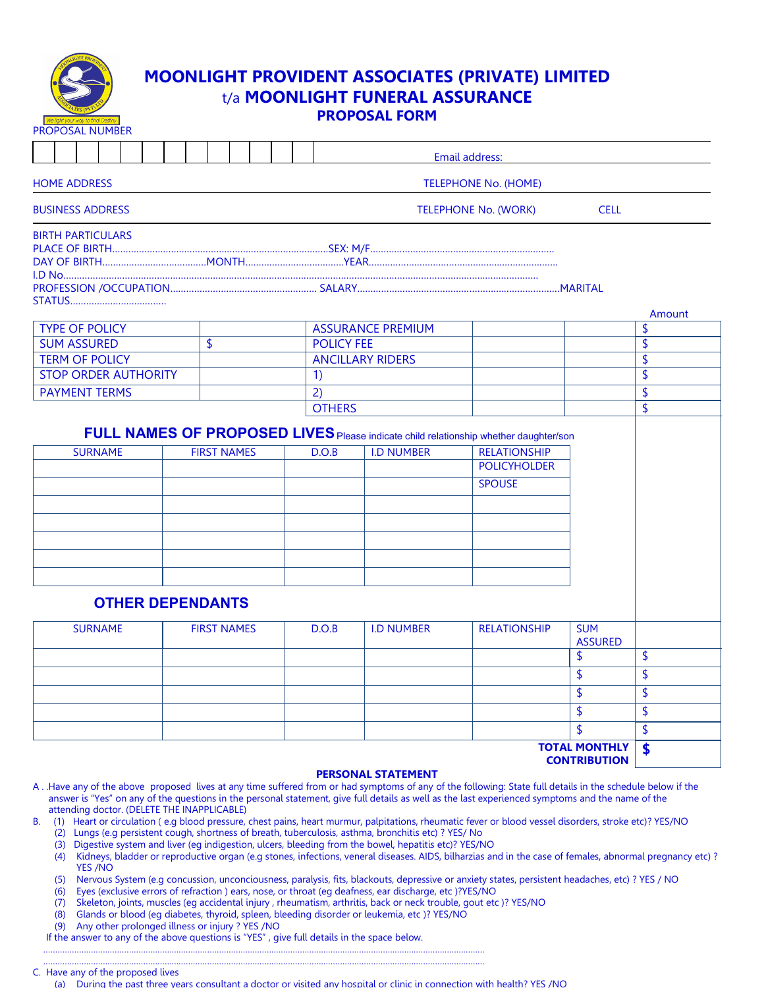

# MOONLIGHT PROVIDENT ASSOCIATES (PRIVATE) LIMITED t/a MOONLIGHT FUNERAL ASSURANCE PROPOSAL FORM

| <b>PROPOSAL NUMBER</b>      |                    |                   |                          |                                                                                                                                                     |                              |                                 |
|-----------------------------|--------------------|-------------------|--------------------------|-----------------------------------------------------------------------------------------------------------------------------------------------------|------------------------------|---------------------------------|
|                             |                    |                   |                          | Email address:                                                                                                                                      |                              |                                 |
| <b>HOME ADDRESS</b>         |                    |                   |                          | <b>TELEPHONE No. (HOME)</b>                                                                                                                         |                              |                                 |
| <b>BUSINESS ADDRESS</b>     |                    |                   |                          | <b>TELEPHONE No. (WORK)</b>                                                                                                                         | <b>CELL</b>                  |                                 |
| <b>BIRTH PARTICULARS</b>    |                    |                   |                          |                                                                                                                                                     |                              |                                 |
|                             |                    |                   |                          |                                                                                                                                                     |                              |                                 |
|                             |                    |                   |                          |                                                                                                                                                     |                              |                                 |
|                             |                    |                   |                          |                                                                                                                                                     |                              |                                 |
|                             |                    |                   |                          |                                                                                                                                                     |                              |                                 |
|                             |                    |                   |                          |                                                                                                                                                     |                              | Amount                          |
| <b>TYPE OF POLICY</b>       |                    |                   | <b>ASSURANCE PREMIUM</b> |                                                                                                                                                     |                              | \$                              |
| <b>SUM ASSURED</b>          | \$                 | <b>POLICY FEE</b> |                          |                                                                                                                                                     |                              | \$                              |
| <b>TERM OF POLICY</b>       |                    |                   | <b>ANCILLARY RIDERS</b>  |                                                                                                                                                     |                              | \$                              |
| <b>STOP ORDER AUTHORITY</b> |                    | 1)                |                          |                                                                                                                                                     |                              | $\overline{\mathsf{s}}$         |
| <b>PAYMENT TERMS</b>        |                    | 2)                |                          |                                                                                                                                                     |                              | \$                              |
|                             |                    | <b>OTHERS</b>     |                          |                                                                                                                                                     |                              | \$                              |
| <b>SURNAME</b>              | <b>FIRST NAMES</b> | D.O.B             | <b>I.D NUMBER</b>        | FULL NAMES OF PROPOSED LIVES Please indicate child relationship whether daughter/son<br><b>RELATIONSHIP</b><br><b>POLICYHOLDER</b><br><b>SPOUSE</b> |                              |                                 |
| <b>OTHER DEPENDANTS</b>     |                    |                   |                          |                                                                                                                                                     |                              |                                 |
| <b>SURNAME</b>              | <b>FIRST NAMES</b> | D.O.B             | <b>I.D NUMBER</b>        | <b>RELATIONSHIP</b>                                                                                                                                 | <b>SUM</b><br><b>ASSURED</b> |                                 |
|                             |                    |                   |                          |                                                                                                                                                     | \$                           | \$                              |
|                             |                    |                   |                          |                                                                                                                                                     | \$                           | $\boldsymbol{\mathsf{S}}$       |
|                             |                    |                   |                          |                                                                                                                                                     | \$                           | \$                              |
|                             |                    |                   |                          |                                                                                                                                                     | \$                           | $\boldsymbol{\hat{\mathsf{S}}}$ |
|                             |                    |                   |                          |                                                                                                                                                     |                              |                                 |
|                             |                    |                   |                          |                                                                                                                                                     | \$                           |                                 |
|                             |                    |                   |                          |                                                                                                                                                     | <b>TOTAL MONTHLY</b>         | $\overline{\mathsf{S}}$<br>\$   |

# PERSONAL STATEMENT

- A . .Have any of the above proposed lives at any time suffered from or had symptoms of any of the following: State full details in the schedule below if the answer is "Yes" on any of the questions in the personal statement, give full details as well as the last experienced symptoms and the name of the attending doctor. (DELETE THE INAPPLICABLE)
- B. (1) Heart or circulation ( e.g blood pressure, chest pains, heart murmur, palpitations, rheumatic fever or blood vessel disorders, stroke etc)? YES/NO
	- (2) Lungs (e.g persistent cough, shortness of breath, tuberculosis, asthma, bronchitis etc) ? YES/ No
	- (3) Digestive system and liver (eg indigestion, ulcers, bleeding from the bowel, hepatitis etc)? YES/NO
	- (4) Kidneys, bladder or reproductive organ (e.g stones, infections, veneral diseases. AIDS, bilharzias and in the case of females, abnormal pregnancy etc) ? YES /NO
	- (5) Nervous System (e.g concussion, unconciousness, paralysis, fits, blackouts, depressive or anxiety states, persistent headaches, etc) ? YES / NO
	- (6) Eyes (exclusive errors of refraction ) ears, nose, or throat (eg deafness, ear discharge, etc )?YES/NO
	- (7) Skeleton, joints, muscles (eg accidental injury , rheumatism, arthritis, back or neck trouble, gout etc )? YES/NO
	- (8) Glands or blood (eg diabetes, thyroid, spleen, bleeding disorder or leukemia, etc )? YES/NO
	- (9) Any other prolonged illness or injury ? YES /NO

 If the answer to any of the above questions is "YES" , give full details in the space below. ……………………………………………………………………………………………………………………………………………………………………

#### …………………………………………………………………………………………………………………………………………………………………… C. Have any of the proposed lives

(a) During the past three years consultant a doctor or visited any hospital or clinic in connection with health? YES /NO